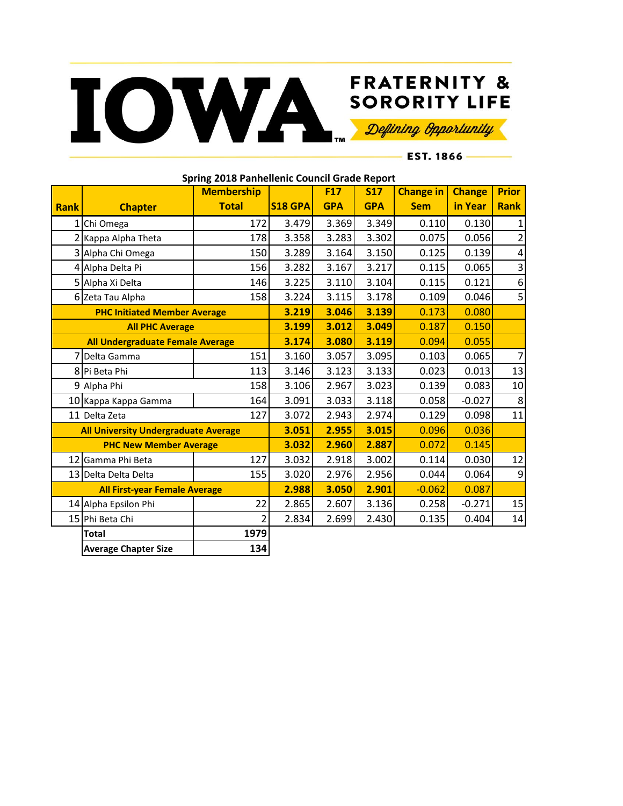## FRATERNITY & SORORITY LIFE

## **FRATERNITY &**

**EST. 1866** ——

| Spring 2018 Panhellenic Council Grade Report |                             |                   |                |            |            |                  |               |                         |  |  |
|----------------------------------------------|-----------------------------|-------------------|----------------|------------|------------|------------------|---------------|-------------------------|--|--|
|                                              |                             | <b>Membership</b> |                | <b>F17</b> | <b>S17</b> | <b>Change in</b> | <b>Change</b> | <b>Prior</b>            |  |  |
| <b>Rank</b>                                  | <b>Chapter</b>              | <b>Total</b>      | <b>S18 GPA</b> | <b>GPA</b> | <b>GPA</b> | <b>Sem</b>       | in Year       | <b>Rank</b>             |  |  |
| 1 <sup>1</sup>                               | Chi Omega                   | 172               | 3.479          | 3.369      | 3.349      | 0.110            | 0.130         | 1                       |  |  |
|                                              | 2 Kappa Alpha Theta         | 178               | 3.358          | 3.283      | 3.302      | 0.075            | 0.056         | $\overline{2}$          |  |  |
|                                              | 3 Alpha Chi Omega           | 150               | 3.289          | 3.164      | 3.150      | 0.125            | 0.139         | $\overline{\mathbf{4}}$ |  |  |
|                                              | 4 Alpha Delta Pi            | 156               | 3.282          | 3.167      | 3.217      | 0.115            | 0.065         | $\overline{\mathbf{3}}$ |  |  |
|                                              | 5 Alpha Xi Delta            | 146               | 3.225          | 3.110      | 3.104      | 0.115            | 0.121         | 6                       |  |  |
|                                              | 6 Zeta Tau Alpha            | 158               | 3.224          | 3.115      | 3.178      | 0.109            | 0.046         | 5                       |  |  |
| <b>PHC Initiated Member Average</b>          |                             |                   | 3.219          | 3.046      | 3.139      | 0.173            | 0.080         |                         |  |  |
| <b>All PHC Average</b>                       |                             |                   | 3.199          | 3.012      | 3.049      | 0.187            | 0.150         |                         |  |  |
| All Undergraduate Female Average             |                             |                   | 3.174          | 3.080      | 3.119      | 0.094            | 0.055         |                         |  |  |
|                                              | Delta Gamma                 | 151               | 3.160          | 3.057      | 3.095      | 0.103            | 0.065         | $\overline{7}$          |  |  |
|                                              | 8 Pi Beta Phi               | 113               | 3.146          | 3.123      | 3.133      | 0.023            | 0.013         | 13                      |  |  |
|                                              | 9 Alpha Phi                 | 158               | 3.106          | 2.967      | 3.023      | 0.139            | 0.083         | 10                      |  |  |
|                                              | 10 Kappa Kappa Gamma        | 164               | 3.091          | 3.033      | 3.118      | 0.058            | $-0.027$      | 8                       |  |  |
|                                              | 11 Delta Zeta               | 127               | 3.072          | 2.943      | 2.974      | 0.129            | 0.098         | 11                      |  |  |
| <b>All University Undergraduate Average</b>  |                             |                   | 3.051          | 2.955      | 3.015      | 0.096            | 0.036         |                         |  |  |
| <b>PHC New Member Average</b>                |                             |                   | 3.032          | 2.960      | 2.887      | 0.072            | 0.145         |                         |  |  |
|                                              | 12 Gamma Phi Beta           | 127               | 3.032          | 2.918      | 3.002      | 0.114            | 0.030         | 12                      |  |  |
|                                              | 13 Delta Delta Delta        | 155               | 3.020          | 2.976      | 2.956      | 0.044            | 0.064         | 9                       |  |  |
| <b>All First-year Female Average</b>         |                             |                   | 2.988          | 3.050      | 2.901      | $-0.062$         | 0.087         |                         |  |  |
|                                              | 14 Alpha Epsilon Phi        | 22                | 2.865          | 2.607      | 3.136      | 0.258            | $-0.271$      | 15                      |  |  |
|                                              | 15 Phi Beta Chi             | 2                 | 2.834          | 2.699      | 2.430      | 0.135            | 0.404         | 14                      |  |  |
|                                              | <b>Total</b>                | 1979              |                |            |            |                  |               |                         |  |  |
|                                              | <b>Average Chapter Size</b> | 134               |                |            |            |                  |               |                         |  |  |